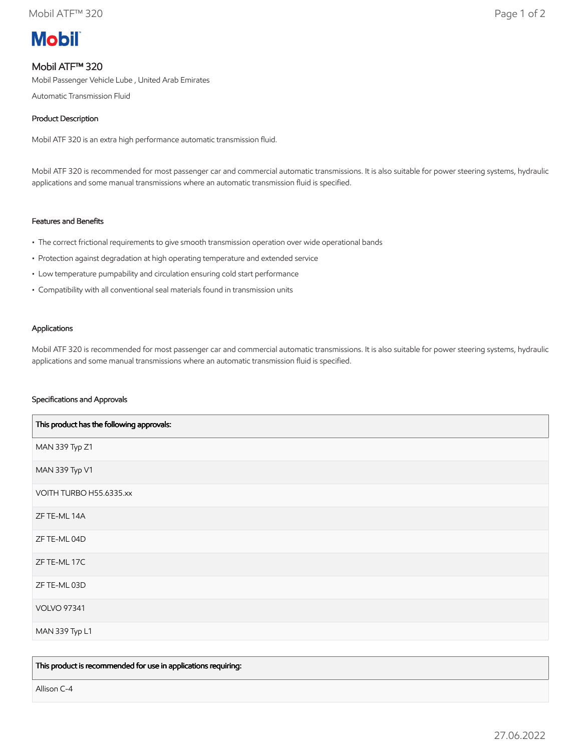# **Mobil**

## Mobil ATF™ 320

Mobil Passenger Vehicle Lube , United Arab Emirates

Automatic Transmission Fluid

### Product Description

Mobil ATF 320 is an extra high performance automatic transmission fluid.

Mobil ATF 320 is recommended for most passenger car and commercial automatic transmissions. It is also suitable for power steering systems, hydraulic applications and some manual transmissions where an automatic transmission fluid is specified.

#### Features and Benefits

- The correct frictional requirements to give smooth transmission operation over wide operational bands
- Protection against degradation at high operating temperature and extended service
- Low temperature pumpability and circulation ensuring cold start performance
- Compatibility with all conventional seal materials found in transmission units

#### Applications

Mobil ATF 320 is recommended for most passenger car and commercial automatic transmissions. It is also suitable for power steering systems, hydraulic applications and some manual transmissions where an automatic transmission fluid is specified.

#### Specifications and Approvals

| This product has the following approvals: |
|-------------------------------------------|
| MAN 339 Typ Z1                            |
| MAN 339 Typ V1                            |
| VOITH TURBO H55.6335.xx                   |
| ZF TE-ML 14A                              |
| ZF TE-ML 04D                              |
| ZF TE-ML 17C                              |
| ZF TE-ML 03D                              |
| <b>VOLVO 97341</b>                        |
| MAN 339 Typ L1                            |

This product is recommended for use in applications requiring:

Allison C-4